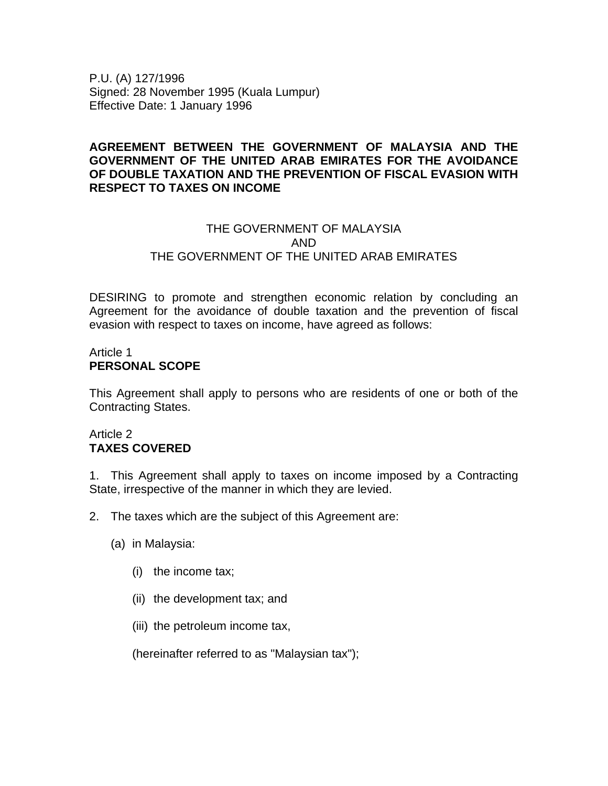P.U. (A) 127/1996 Signed: 28 November 1995 (Kuala Lumpur) Effective Date: 1 January 1996

### **AGREEMENT BETWEEN THE GOVERNMENT OF MALAYSIA AND THE GOVERNMENT OF THE UNITED ARAB EMIRATES FOR THE AVOIDANCE OF DOUBLE TAXATION AND THE PREVENTION OF FISCAL EVASION WITH RESPECT TO TAXES ON INCOME**

### THE GOVERNMENT OF MALAYSIA AND THE GOVERNMENT OF THE UNITED ARAB EMIRATES

DESIRING to promote and strengthen economic relation by concluding an Agreement for the avoidance of double taxation and the prevention of fiscal evasion with respect to taxes on income, have agreed as follows:

### Article 1 **PERSONAL SCOPE**

This Agreement shall apply to persons who are residents of one or both of the Contracting States.

### Article 2 **TAXES COVERED**

1. This Agreement shall apply to taxes on income imposed by a Contracting State, irrespective of the manner in which they are levied.

- 2. The taxes which are the subject of this Agreement are:
	- (a) in Malaysia:
		- (i) the income tax;
		- (ii) the development tax; and
		- (iii) the petroleum income tax,

(hereinafter referred to as "Malaysian tax");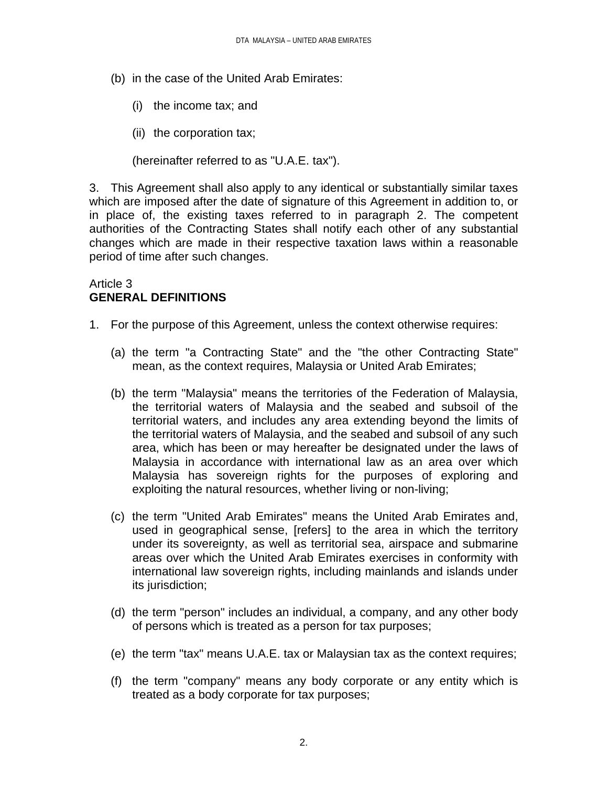- (b) in the case of the United Arab Emirates:
	- (i) the income tax; and
	- (ii) the corporation tax;

(hereinafter referred to as "U.A.E. tax").

3. This Agreement shall also apply to any identical or substantially similar taxes which are imposed after the date of signature of this Agreement in addition to, or in place of, the existing taxes referred to in paragraph 2. The competent authorities of the Contracting States shall notify each other of any substantial changes which are made in their respective taxation laws within a reasonable period of time after such changes.

## Article 3 **GENERAL DEFINITIONS**

- 1. For the purpose of this Agreement, unless the context otherwise requires:
	- (a) the term "a Contracting State" and the "the other Contracting State" mean, as the context requires, Malaysia or United Arab Emirates;
	- (b) the term "Malaysia" means the territories of the Federation of Malaysia, the territorial waters of Malaysia and the seabed and subsoil of the territorial waters, and includes any area extending beyond the limits of the territorial waters of Malaysia, and the seabed and subsoil of any such area, which has been or may hereafter be designated under the laws of Malaysia in accordance with international law as an area over which Malaysia has sovereign rights for the purposes of exploring and exploiting the natural resources, whether living or non-living;
	- (c) the term "United Arab Emirates" means the United Arab Emirates and, used in geographical sense, [refers] to the area in which the territory under its sovereignty, as well as territorial sea, airspace and submarine areas over which the United Arab Emirates exercises in conformity with international law sovereign rights, including mainlands and islands under its jurisdiction;
	- (d) the term "person" includes an individual, a company, and any other body of persons which is treated as a person for tax purposes;
	- (e) the term "tax" means U.A.E. tax or Malaysian tax as the context requires;
	- (f) the term "company" means any body corporate or any entity which is treated as a body corporate for tax purposes;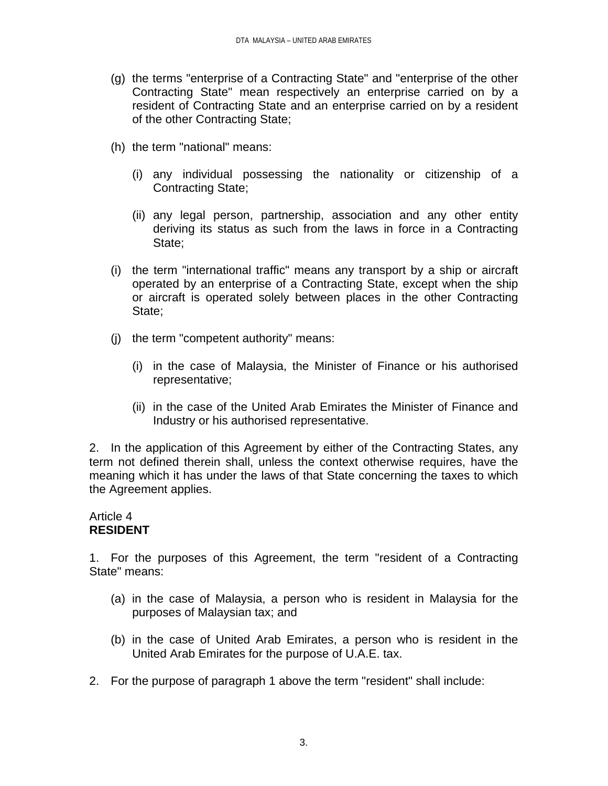- (g) the terms "enterprise of a Contracting State" and "enterprise of the other Contracting State" mean respectively an enterprise carried on by a resident of Contracting State and an enterprise carried on by a resident of the other Contracting State;
- (h) the term "national" means:
	- (i) any individual possessing the nationality or citizenship of a Contracting State;
	- (ii) any legal person, partnership, association and any other entity deriving its status as such from the laws in force in a Contracting State;
- (i) the term "international traffic" means any transport by a ship or aircraft operated by an enterprise of a Contracting State, except when the ship or aircraft is operated solely between places in the other Contracting State;
- (j) the term "competent authority" means:
	- (i) in the case of Malaysia, the Minister of Finance or his authorised representative;
	- (ii) in the case of the United Arab Emirates the Minister of Finance and Industry or his authorised representative.

2. In the application of this Agreement by either of the Contracting States, any term not defined therein shall, unless the context otherwise requires, have the meaning which it has under the laws of that State concerning the taxes to which the Agreement applies.

### Article 4 **RESIDENT**

1. For the purposes of this Agreement, the term "resident of a Contracting State" means:

- (a) in the case of Malaysia, a person who is resident in Malaysia for the purposes of Malaysian tax; and
- (b) in the case of United Arab Emirates, a person who is resident in the United Arab Emirates for the purpose of U.A.E. tax.
- 2. For the purpose of paragraph 1 above the term "resident" shall include: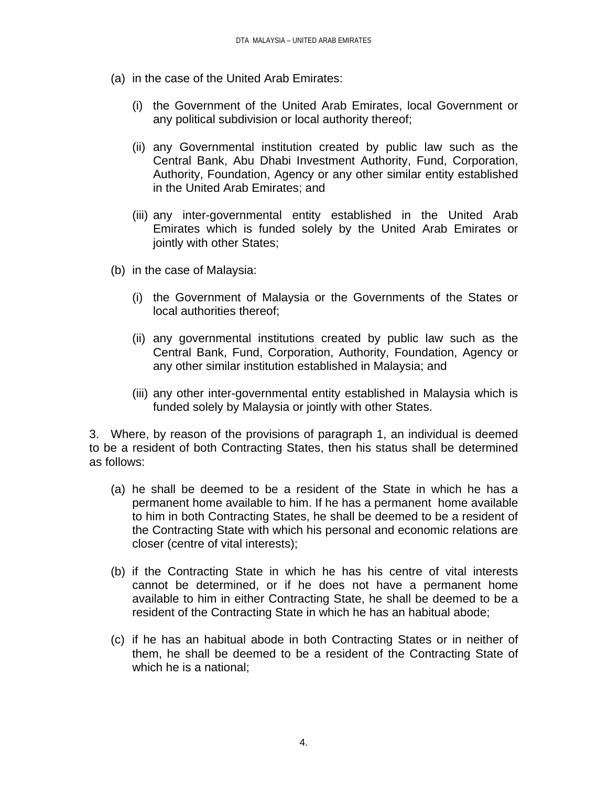- (a) in the case of the United Arab Emirates:
	- (i) the Government of the United Arab Emirates, local Government or any political subdivision or local authority thereof;
	- (ii) any Governmental institution created by public law such as the Central Bank, Abu Dhabi Investment Authority, Fund, Corporation, Authority, Foundation, Agency or any other similar entity established in the United Arab Emirates; and
	- (iii) any inter-governmental entity established in the United Arab Emirates which is funded solely by the United Arab Emirates or jointly with other States;
- (b) in the case of Malaysia:
	- (i) the Government of Malaysia or the Governments of the States or local authorities thereof;
	- (ii) any governmental institutions created by public law such as the Central Bank, Fund, Corporation, Authority, Foundation, Agency or any other similar institution established in Malaysia; and
	- (iii) any other inter-governmental entity established in Malaysia which is funded solely by Malaysia or jointly with other States.

3. Where, by reason of the provisions of paragraph 1, an individual is deemed to be a resident of both Contracting States, then his status shall be determined as follows:

- (a) he shall be deemed to be a resident of the State in which he has a permanent home available to him. If he has a permanent home available to him in both Contracting States, he shall be deemed to be a resident of the Contracting State with which his personal and economic relations are closer (centre of vital interests);
- (b) if the Contracting State in which he has his centre of vital interests cannot be determined, or if he does not have a permanent home available to him in either Contracting State, he shall be deemed to be a resident of the Contracting State in which he has an habitual abode;
- (c) if he has an habitual abode in both Contracting States or in neither of them, he shall be deemed to be a resident of the Contracting State of which he is a national;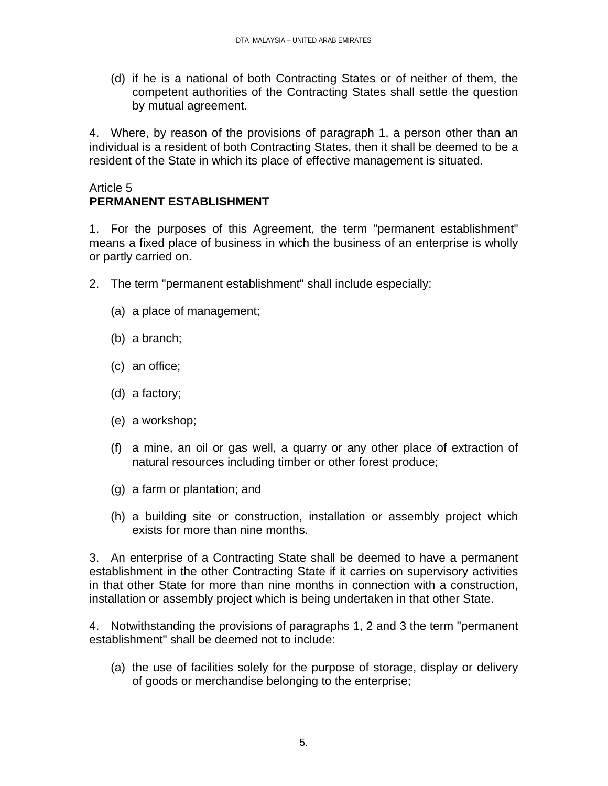(d) if he is a national of both Contracting States or of neither of them, the competent authorities of the Contracting States shall settle the question by mutual agreement.

4. Where, by reason of the provisions of paragraph 1, a person other than an individual is a resident of both Contracting States, then it shall be deemed to be a resident of the State in which its place of effective management is situated.

### Article 5 **PERMANENT ESTABLISHMENT**

1. For the purposes of this Agreement, the term "permanent establishment" means a fixed place of business in which the business of an enterprise is wholly or partly carried on.

- 2. The term "permanent establishment" shall include especially:
	- (a) a place of management;
	- (b) a branch;
	- (c) an office;
	- (d) a factory;
	- (e) a workshop;
	- (f) a mine, an oil or gas well, a quarry or any other place of extraction of natural resources including timber or other forest produce;
	- (g) a farm or plantation; and
	- (h) a building site or construction, installation or assembly project which exists for more than nine months.

3. An enterprise of a Contracting State shall be deemed to have a permanent establishment in the other Contracting State if it carries on supervisory activities in that other State for more than nine months in connection with a construction, installation or assembly project which is being undertaken in that other State.

4. Notwithstanding the provisions of paragraphs 1, 2 and 3 the term "permanent establishment" shall be deemed not to include:

(a) the use of facilities solely for the purpose of storage, display or delivery of goods or merchandise belonging to the enterprise;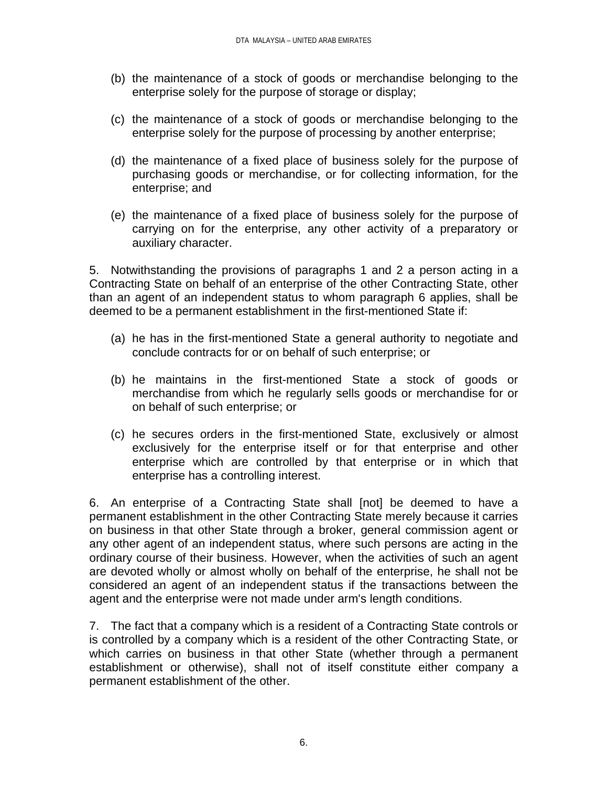- (b) the maintenance of a stock of goods or merchandise belonging to the enterprise solely for the purpose of storage or display;
- (c) the maintenance of a stock of goods or merchandise belonging to the enterprise solely for the purpose of processing by another enterprise;
- (d) the maintenance of a fixed place of business solely for the purpose of purchasing goods or merchandise, or for collecting information, for the enterprise; and
- (e) the maintenance of a fixed place of business solely for the purpose of carrying on for the enterprise, any other activity of a preparatory or auxiliary character.

5. Notwithstanding the provisions of paragraphs 1 and 2 a person acting in a Contracting State on behalf of an enterprise of the other Contracting State, other than an agent of an independent status to whom paragraph 6 applies, shall be deemed to be a permanent establishment in the first-mentioned State if:

- (a) he has in the first-mentioned State a general authority to negotiate and conclude contracts for or on behalf of such enterprise; or
- (b) he maintains in the first-mentioned State a stock of goods or merchandise from which he regularly sells goods or merchandise for or on behalf of such enterprise; or
- (c) he secures orders in the first-mentioned State, exclusively or almost exclusively for the enterprise itself or for that enterprise and other enterprise which are controlled by that enterprise or in which that enterprise has a controlling interest.

6. An enterprise of a Contracting State shall [not] be deemed to have a permanent establishment in the other Contracting State merely because it carries on business in that other State through a broker, general commission agent or any other agent of an independent status, where such persons are acting in the ordinary course of their business. However, when the activities of such an agent are devoted wholly or almost wholly on behalf of the enterprise, he shall not be considered an agent of an independent status if the transactions between the agent and the enterprise were not made under arm's length conditions.

7. The fact that a company which is a resident of a Contracting State controls or is controlled by a company which is a resident of the other Contracting State, or which carries on business in that other State (whether through a permanent establishment or otherwise), shall not of itself constitute either company a permanent establishment of the other.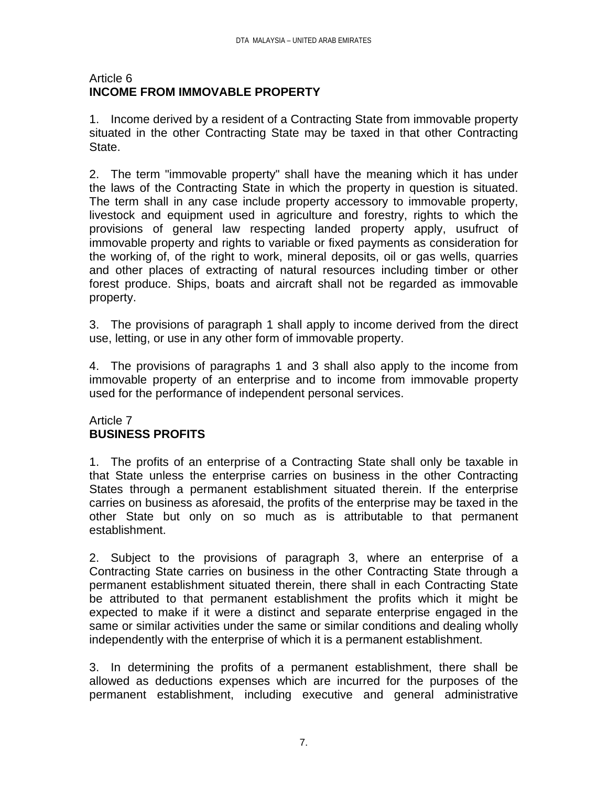### Article 6 **INCOME FROM IMMOVABLE PROPERTY**

1. Income derived by a resident of a Contracting State from immovable property situated in the other Contracting State may be taxed in that other Contracting State.

2. The term "immovable property" shall have the meaning which it has under the laws of the Contracting State in which the property in question is situated. The term shall in any case include property accessory to immovable property, livestock and equipment used in agriculture and forestry, rights to which the provisions of general law respecting landed property apply, usufruct of immovable property and rights to variable or fixed payments as consideration for the working of, of the right to work, mineral deposits, oil or gas wells, quarries and other places of extracting of natural resources including timber or other forest produce. Ships, boats and aircraft shall not be regarded as immovable property.

3. The provisions of paragraph 1 shall apply to income derived from the direct use, letting, or use in any other form of immovable property.

4. The provisions of paragraphs 1 and 3 shall also apply to the income from immovable property of an enterprise and to income from immovable property used for the performance of independent personal services.

## Article 7 **BUSINESS PROFITS**

1. The profits of an enterprise of a Contracting State shall only be taxable in that State unless the enterprise carries on business in the other Contracting States through a permanent establishment situated therein. If the enterprise carries on business as aforesaid, the profits of the enterprise may be taxed in the other State but only on so much as is attributable to that permanent establishment.

2. Subject to the provisions of paragraph 3, where an enterprise of a Contracting State carries on business in the other Contracting State through a permanent establishment situated therein, there shall in each Contracting State be attributed to that permanent establishment the profits which it might be expected to make if it were a distinct and separate enterprise engaged in the same or similar activities under the same or similar conditions and dealing wholly independently with the enterprise of which it is a permanent establishment.

3. In determining the profits of a permanent establishment, there shall be allowed as deductions expenses which are incurred for the purposes of the permanent establishment, including executive and general administrative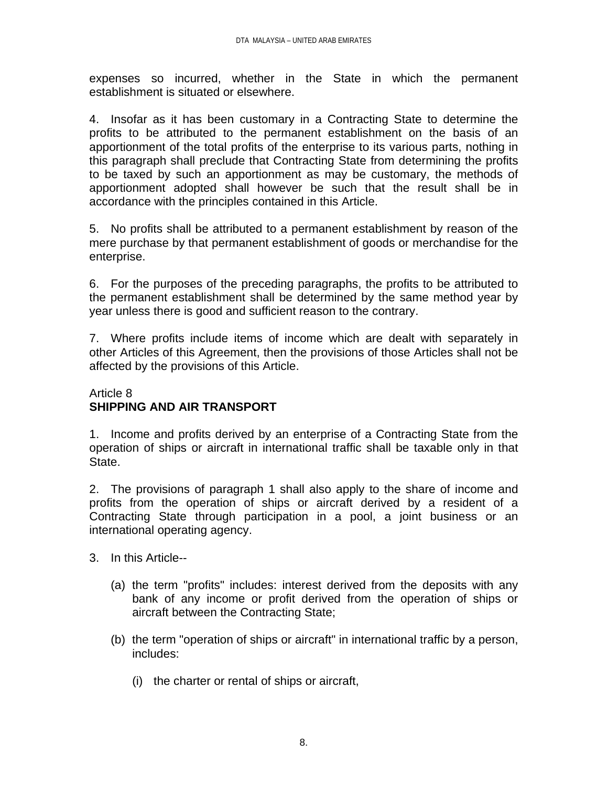expenses so incurred, whether in the State in which the permanent establishment is situated or elsewhere.

4. Insofar as it has been customary in a Contracting State to determine the profits to be attributed to the permanent establishment on the basis of an apportionment of the total profits of the enterprise to its various parts, nothing in this paragraph shall preclude that Contracting State from determining the profits to be taxed by such an apportionment as may be customary, the methods of apportionment adopted shall however be such that the result shall be in accordance with the principles contained in this Article.

5. No profits shall be attributed to a permanent establishment by reason of the mere purchase by that permanent establishment of goods or merchandise for the enterprise.

6. For the purposes of the preceding paragraphs, the profits to be attributed to the permanent establishment shall be determined by the same method year by year unless there is good and sufficient reason to the contrary.

7. Where profits include items of income which are dealt with separately in other Articles of this Agreement, then the provisions of those Articles shall not be affected by the provisions of this Article.

## Article 8 **SHIPPING AND AIR TRANSPORT**

1. Income and profits derived by an enterprise of a Contracting State from the operation of ships or aircraft in international traffic shall be taxable only in that State.

2. The provisions of paragraph 1 shall also apply to the share of income and profits from the operation of ships or aircraft derived by a resident of a Contracting State through participation in a pool, a joint business or an international operating agency.

- 3. In this Article--
	- (a) the term "profits" includes: interest derived from the deposits with any bank of any income or profit derived from the operation of ships or aircraft between the Contracting State;
	- (b) the term "operation of ships or aircraft" in international traffic by a person, includes:
		- (i) the charter or rental of ships or aircraft,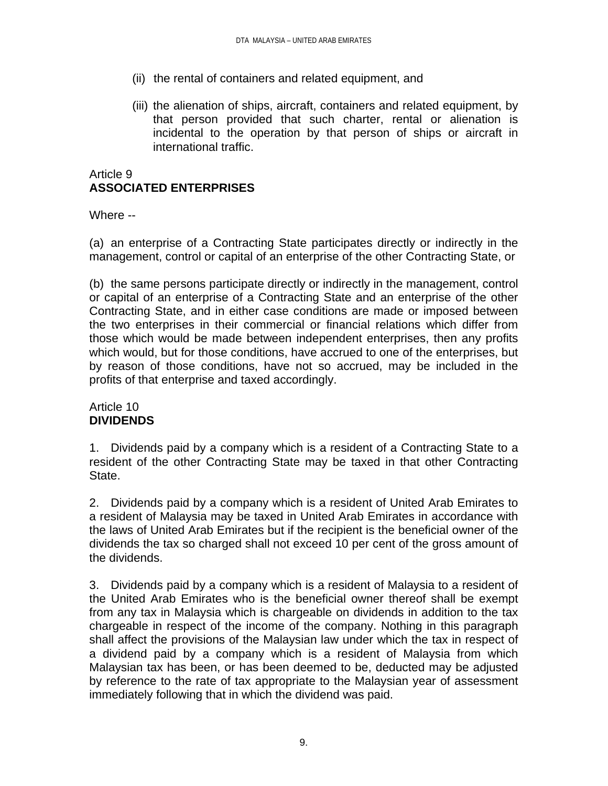- (ii) the rental of containers and related equipment, and
- (iii) the alienation of ships, aircraft, containers and related equipment, by that person provided that such charter, rental or alienation is incidental to the operation by that person of ships or aircraft in international traffic.

## Article 9 **ASSOCIATED ENTERPRISES**

Where --

(a) an enterprise of a Contracting State participates directly or indirectly in the management, control or capital of an enterprise of the other Contracting State, or

(b) the same persons participate directly or indirectly in the management, control or capital of an enterprise of a Contracting State and an enterprise of the other Contracting State, and in either case conditions are made or imposed between the two enterprises in their commercial or financial relations which differ from those which would be made between independent enterprises, then any profits which would, but for those conditions, have accrued to one of the enterprises, but by reason of those conditions, have not so accrued, may be included in the profits of that enterprise and taxed accordingly.

### Article 10 **DIVIDENDS**

1. Dividends paid by a company which is a resident of a Contracting State to a resident of the other Contracting State may be taxed in that other Contracting State.

2. Dividends paid by a company which is a resident of United Arab Emirates to a resident of Malaysia may be taxed in United Arab Emirates in accordance with the laws of United Arab Emirates but if the recipient is the beneficial owner of the dividends the tax so charged shall not exceed 10 per cent of the gross amount of the dividends.

3. Dividends paid by a company which is a resident of Malaysia to a resident of the United Arab Emirates who is the beneficial owner thereof shall be exempt from any tax in Malaysia which is chargeable on dividends in addition to the tax chargeable in respect of the income of the company. Nothing in this paragraph shall affect the provisions of the Malaysian law under which the tax in respect of a dividend paid by a company which is a resident of Malaysia from which Malaysian tax has been, or has been deemed to be, deducted may be adjusted by reference to the rate of tax appropriate to the Malaysian year of assessment immediately following that in which the dividend was paid.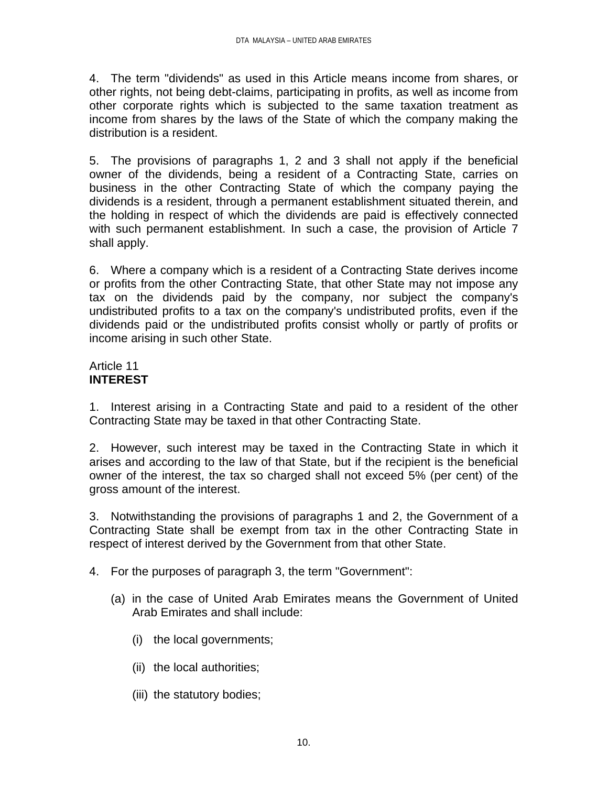4. The term "dividends" as used in this Article means income from shares, or other rights, not being debt-claims, participating in profits, as well as income from other corporate rights which is subjected to the same taxation treatment as income from shares by the laws of the State of which the company making the distribution is a resident.

5. The provisions of paragraphs 1, 2 and 3 shall not apply if the beneficial owner of the dividends, being a resident of a Contracting State, carries on business in the other Contracting State of which the company paying the dividends is a resident, through a permanent establishment situated therein, and the holding in respect of which the dividends are paid is effectively connected with such permanent establishment. In such a case, the provision of Article 7 shall apply.

6. Where a company which is a resident of a Contracting State derives income or profits from the other Contracting State, that other State may not impose any tax on the dividends paid by the company, nor subject the company's undistributed profits to a tax on the company's undistributed profits, even if the dividends paid or the undistributed profits consist wholly or partly of profits or income arising in such other State.

## Article 11 **INTEREST**

1. Interest arising in a Contracting State and paid to a resident of the other Contracting State may be taxed in that other Contracting State.

2. However, such interest may be taxed in the Contracting State in which it arises and according to the law of that State, but if the recipient is the beneficial owner of the interest, the tax so charged shall not exceed 5% (per cent) of the gross amount of the interest.

3. Notwithstanding the provisions of paragraphs 1 and 2, the Government of a Contracting State shall be exempt from tax in the other Contracting State in respect of interest derived by the Government from that other State.

- 4. For the purposes of paragraph 3, the term "Government":
	- (a) in the case of United Arab Emirates means the Government of United Arab Emirates and shall include:
		- (i) the local governments;
		- (ii) the local authorities;
		- (iii) the statutory bodies;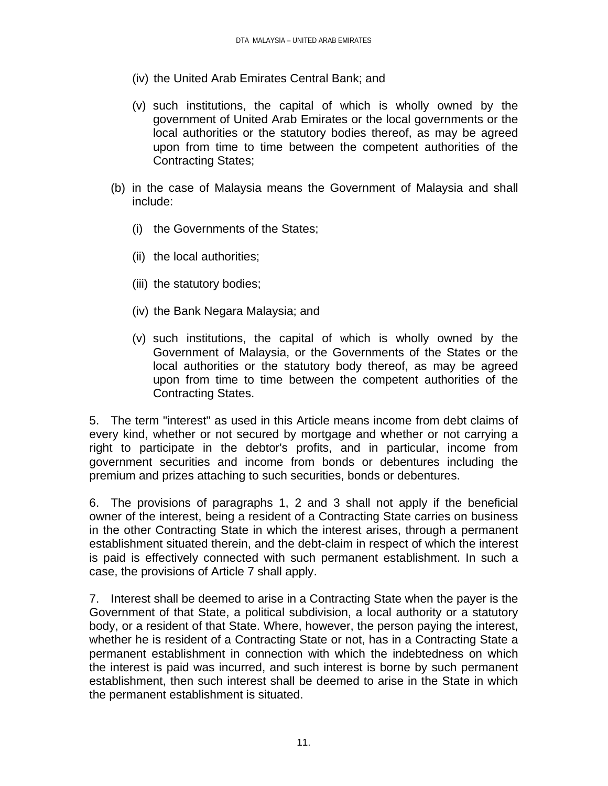- (iv) the United Arab Emirates Central Bank; and
- (v) such institutions, the capital of which is wholly owned by the government of United Arab Emirates or the local governments or the local authorities or the statutory bodies thereof, as may be agreed upon from time to time between the competent authorities of the Contracting States;
- (b) in the case of Malaysia means the Government of Malaysia and shall include:
	- (i) the Governments of the States;
	- (ii) the local authorities;
	- (iii) the statutory bodies;
	- (iv) the Bank Negara Malaysia; and
	- (v) such institutions, the capital of which is wholly owned by the Government of Malaysia, or the Governments of the States or the local authorities or the statutory body thereof, as may be agreed upon from time to time between the competent authorities of the Contracting States.

5. The term "interest" as used in this Article means income from debt claims of every kind, whether or not secured by mortgage and whether or not carrying a right to participate in the debtor's profits, and in particular, income from government securities and income from bonds or debentures including the premium and prizes attaching to such securities, bonds or debentures.

6. The provisions of paragraphs 1, 2 and 3 shall not apply if the beneficial owner of the interest, being a resident of a Contracting State carries on business in the other Contracting State in which the interest arises, through a permanent establishment situated therein, and the debt-claim in respect of which the interest is paid is effectively connected with such permanent establishment. In such a case, the provisions of Article 7 shall apply.

7. Interest shall be deemed to arise in a Contracting State when the payer is the Government of that State, a political subdivision, a local authority or a statutory body, or a resident of that State. Where, however, the person paying the interest, whether he is resident of a Contracting State or not, has in a Contracting State a permanent establishment in connection with which the indebtedness on which the interest is paid was incurred, and such interest is borne by such permanent establishment, then such interest shall be deemed to arise in the State in which the permanent establishment is situated.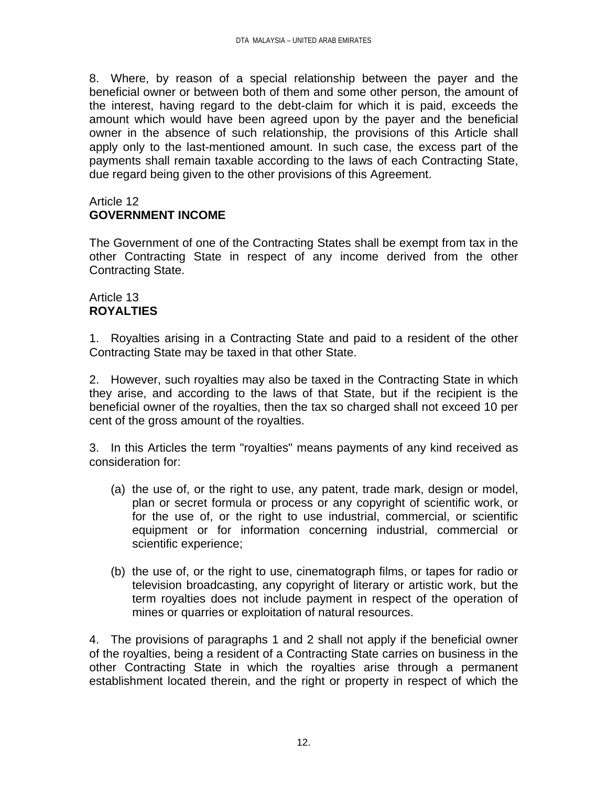8. Where, by reason of a special relationship between the payer and the beneficial owner or between both of them and some other person, the amount of the interest, having regard to the debt-claim for which it is paid, exceeds the amount which would have been agreed upon by the payer and the beneficial owner in the absence of such relationship, the provisions of this Article shall apply only to the last-mentioned amount. In such case, the excess part of the payments shall remain taxable according to the laws of each Contracting State, due regard being given to the other provisions of this Agreement.

## Article 12 **GOVERNMENT INCOME**

The Government of one of the Contracting States shall be exempt from tax in the other Contracting State in respect of any income derived from the other Contracting State.

### Article 13 **ROYALTIES**

1. Royalties arising in a Contracting State and paid to a resident of the other Contracting State may be taxed in that other State.

2. However, such royalties may also be taxed in the Contracting State in which they arise, and according to the laws of that State, but if the recipient is the beneficial owner of the royalties, then the tax so charged shall not exceed 10 per cent of the gross amount of the royalties.

3. In this Articles the term "royalties" means payments of any kind received as consideration for:

- (a) the use of, or the right to use, any patent, trade mark, design or model, plan or secret formula or process or any copyright of scientific work, or for the use of, or the right to use industrial, commercial, or scientific equipment or for information concerning industrial, commercial or scientific experience;
- (b) the use of, or the right to use, cinematograph films, or tapes for radio or television broadcasting, any copyright of literary or artistic work, but the term royalties does not include payment in respect of the operation of mines or quarries or exploitation of natural resources.

4. The provisions of paragraphs 1 and 2 shall not apply if the beneficial owner of the royalties, being a resident of a Contracting State carries on business in the other Contracting State in which the royalties arise through a permanent establishment located therein, and the right or property in respect of which the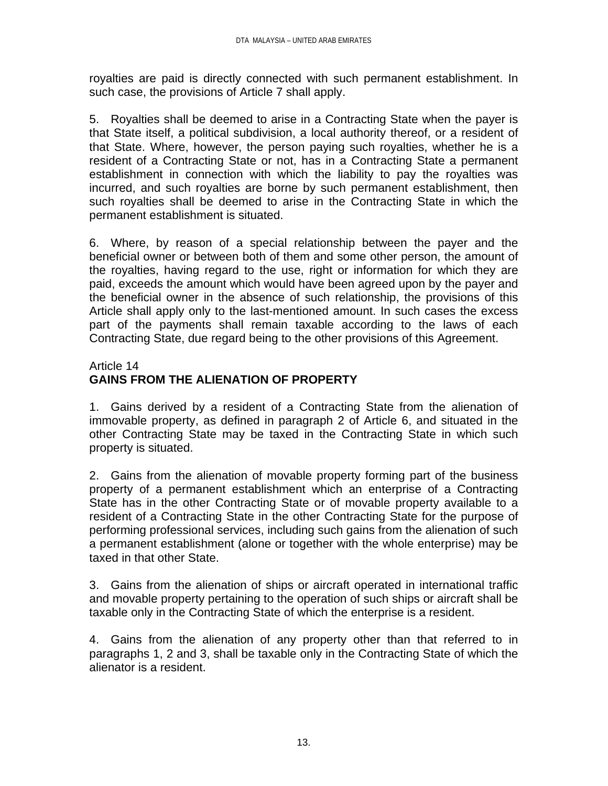royalties are paid is directly connected with such permanent establishment. In such case, the provisions of Article 7 shall apply.

5. Royalties shall be deemed to arise in a Contracting State when the payer is that State itself, a political subdivision, a local authority thereof, or a resident of that State. Where, however, the person paying such royalties, whether he is a resident of a Contracting State or not, has in a Contracting State a permanent establishment in connection with which the liability to pay the royalties was incurred, and such royalties are borne by such permanent establishment, then such royalties shall be deemed to arise in the Contracting State in which the permanent establishment is situated.

6. Where, by reason of a special relationship between the payer and the beneficial owner or between both of them and some other person, the amount of the royalties, having regard to the use, right or information for which they are paid, exceeds the amount which would have been agreed upon by the payer and the beneficial owner in the absence of such relationship, the provisions of this Article shall apply only to the last-mentioned amount. In such cases the excess part of the payments shall remain taxable according to the laws of each Contracting State, due regard being to the other provisions of this Agreement.

### Article 14 **GAINS FROM THE ALIENATION OF PROPERTY**

1. Gains derived by a resident of a Contracting State from the alienation of immovable property, as defined in paragraph 2 of Article 6, and situated in the other Contracting State may be taxed in the Contracting State in which such property is situated.

2. Gains from the alienation of movable property forming part of the business property of a permanent establishment which an enterprise of a Contracting State has in the other Contracting State or of movable property available to a resident of a Contracting State in the other Contracting State for the purpose of performing professional services, including such gains from the alienation of such a permanent establishment (alone or together with the whole enterprise) may be taxed in that other State.

3. Gains from the alienation of ships or aircraft operated in international traffic and movable property pertaining to the operation of such ships or aircraft shall be taxable only in the Contracting State of which the enterprise is a resident.

4. Gains from the alienation of any property other than that referred to in paragraphs 1, 2 and 3, shall be taxable only in the Contracting State of which the alienator is a resident.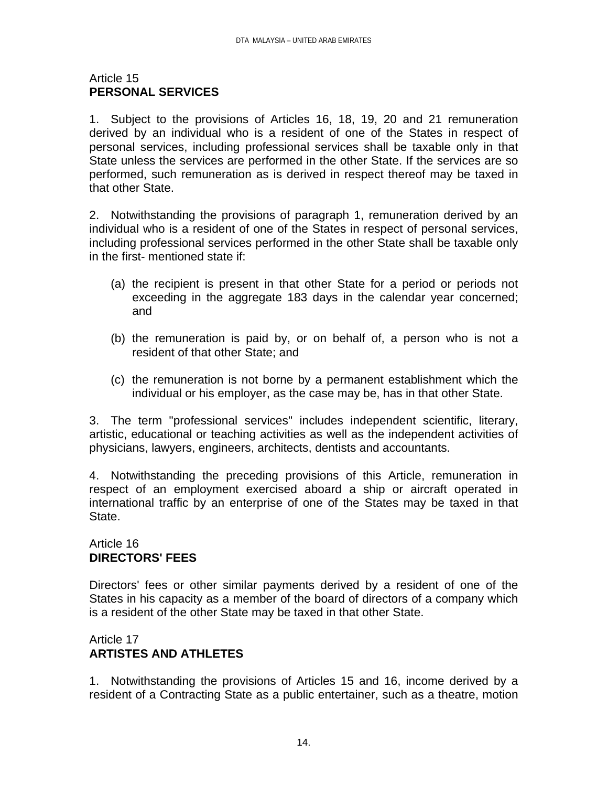### Article 15 **PERSONAL SERVICES**

1. Subject to the provisions of Articles 16, 18, 19, 20 and 21 remuneration derived by an individual who is a resident of one of the States in respect of personal services, including professional services shall be taxable only in that State unless the services are performed in the other State. If the services are so performed, such remuneration as is derived in respect thereof may be taxed in that other State.

2. Notwithstanding the provisions of paragraph 1, remuneration derived by an individual who is a resident of one of the States in respect of personal services, including professional services performed in the other State shall be taxable only in the first- mentioned state if:

- (a) the recipient is present in that other State for a period or periods not exceeding in the aggregate 183 days in the calendar year concerned; and
- (b) the remuneration is paid by, or on behalf of, a person who is not a resident of that other State; and
- (c) the remuneration is not borne by a permanent establishment which the individual or his employer, as the case may be, has in that other State.

3. The term "professional services" includes independent scientific, literary, artistic, educational or teaching activities as well as the independent activities of physicians, lawyers, engineers, architects, dentists and accountants.

4. Notwithstanding the preceding provisions of this Article, remuneration in respect of an employment exercised aboard a ship or aircraft operated in international traffic by an enterprise of one of the States may be taxed in that State.

## Article 16 **DIRECTORS' FEES**

Directors' fees or other similar payments derived by a resident of one of the States in his capacity as a member of the board of directors of a company which is a resident of the other State may be taxed in that other State.

## Article 17 **ARTISTES AND ATHLETES**

1. Notwithstanding the provisions of Articles 15 and 16, income derived by a resident of a Contracting State as a public entertainer, such as a theatre, motion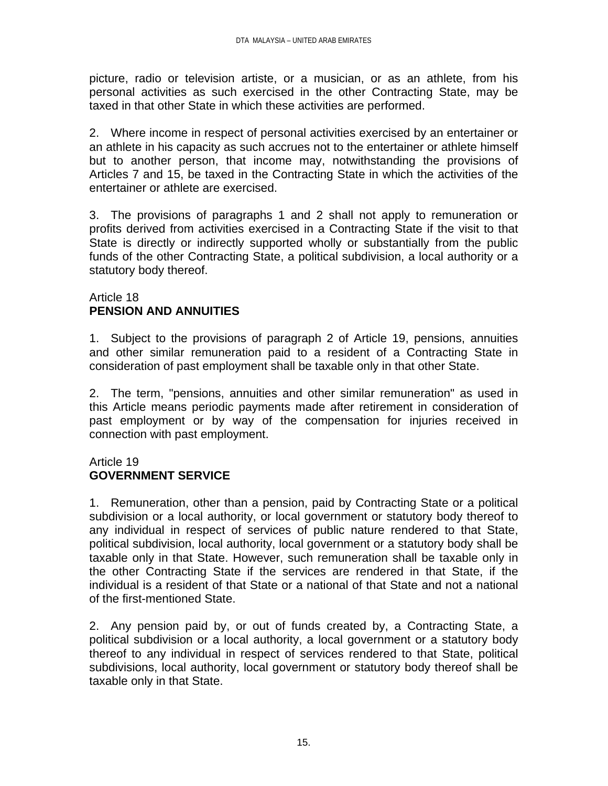picture, radio or television artiste, or a musician, or as an athlete, from his personal activities as such exercised in the other Contracting State, may be taxed in that other State in which these activities are performed.

2. Where income in respect of personal activities exercised by an entertainer or an athlete in his capacity as such accrues not to the entertainer or athlete himself but to another person, that income may, notwithstanding the provisions of Articles 7 and 15, be taxed in the Contracting State in which the activities of the entertainer or athlete are exercised.

3. The provisions of paragraphs 1 and 2 shall not apply to remuneration or profits derived from activities exercised in a Contracting State if the visit to that State is directly or indirectly supported wholly or substantially from the public funds of the other Contracting State, a political subdivision, a local authority or a statutory body thereof.

### Article 18 **PENSION AND ANNUITIES**

1. Subject to the provisions of paragraph 2 of Article 19, pensions, annuities and other similar remuneration paid to a resident of a Contracting State in consideration of past employment shall be taxable only in that other State.

2. The term, "pensions, annuities and other similar remuneration" as used in this Article means periodic payments made after retirement in consideration of past employment or by way of the compensation for injuries received in connection with past employment.

### Article 19 **GOVERNMENT SERVICE**

1. Remuneration, other than a pension, paid by Contracting State or a political subdivision or a local authority, or local government or statutory body thereof to any individual in respect of services of public nature rendered to that State, political subdivision, local authority, local government or a statutory body shall be taxable only in that State. However, such remuneration shall be taxable only in the other Contracting State if the services are rendered in that State, if the individual is a resident of that State or a national of that State and not a national of the first-mentioned State.

2. Any pension paid by, or out of funds created by, a Contracting State, a political subdivision or a local authority, a local government or a statutory body thereof to any individual in respect of services rendered to that State, political subdivisions, local authority, local government or statutory body thereof shall be taxable only in that State.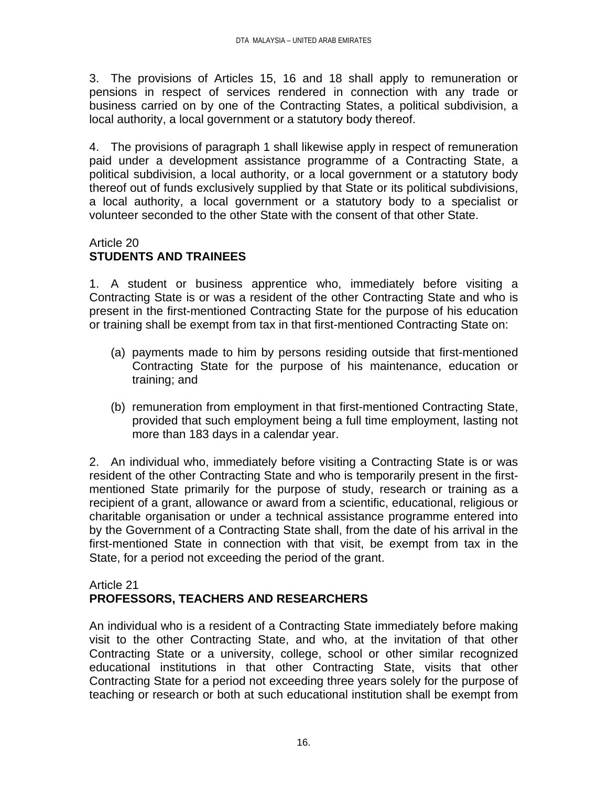3. The provisions of Articles 15, 16 and 18 shall apply to remuneration or pensions in respect of services rendered in connection with any trade or business carried on by one of the Contracting States, a political subdivision, a local authority, a local government or a statutory body thereof.

4. The provisions of paragraph 1 shall likewise apply in respect of remuneration paid under a development assistance programme of a Contracting State, a political subdivision, a local authority, or a local government or a statutory body thereof out of funds exclusively supplied by that State or its political subdivisions, a local authority, a local government or a statutory body to a specialist or volunteer seconded to the other State with the consent of that other State.

### Article 20 **STUDENTS AND TRAINEES**

1. A student or business apprentice who, immediately before visiting a Contracting State is or was a resident of the other Contracting State and who is present in the first-mentioned Contracting State for the purpose of his education or training shall be exempt from tax in that first-mentioned Contracting State on:

- (a) payments made to him by persons residing outside that first-mentioned Contracting State for the purpose of his maintenance, education or training; and
- (b) remuneration from employment in that first-mentioned Contracting State, provided that such employment being a full time employment, lasting not more than 183 days in a calendar year.

2. An individual who, immediately before visiting a Contracting State is or was resident of the other Contracting State and who is temporarily present in the firstmentioned State primarily for the purpose of study, research or training as a recipient of a grant, allowance or award from a scientific, educational, religious or charitable organisation or under a technical assistance programme entered into by the Government of a Contracting State shall, from the date of his arrival in the first-mentioned State in connection with that visit, be exempt from tax in the State, for a period not exceeding the period of the grant.

### Article 21 **PROFESSORS, TEACHERS AND RESEARCHERS**

An individual who is a resident of a Contracting State immediately before making visit to the other Contracting State, and who, at the invitation of that other Contracting State or a university, college, school or other similar recognized educational institutions in that other Contracting State, visits that other Contracting State for a period not exceeding three years solely for the purpose of teaching or research or both at such educational institution shall be exempt from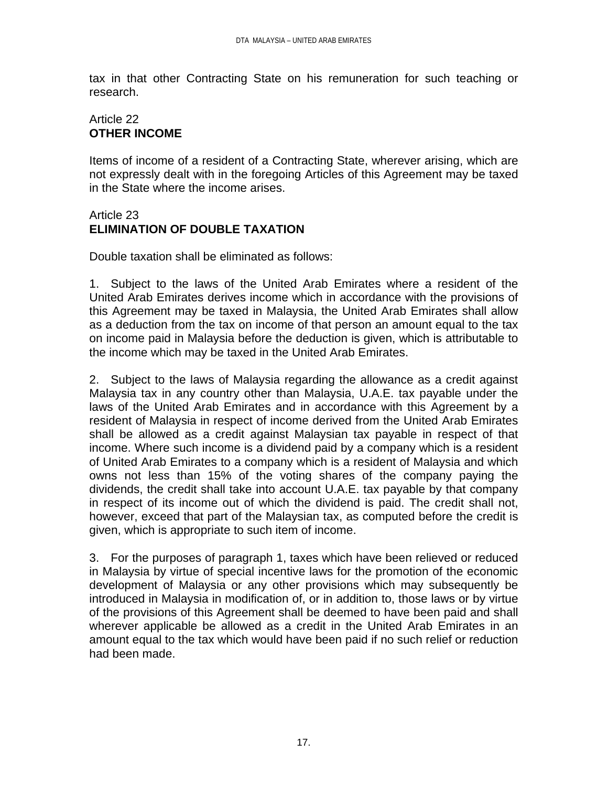tax in that other Contracting State on his remuneration for such teaching or research.

### Article 22 **OTHER INCOME**

Items of income of a resident of a Contracting State, wherever arising, which are not expressly dealt with in the foregoing Articles of this Agreement may be taxed in the State where the income arises.

### Article 23 **ELIMINATION OF DOUBLE TAXATION**

Double taxation shall be eliminated as follows:

1. Subject to the laws of the United Arab Emirates where a resident of the United Arab Emirates derives income which in accordance with the provisions of this Agreement may be taxed in Malaysia, the United Arab Emirates shall allow as a deduction from the tax on income of that person an amount equal to the tax on income paid in Malaysia before the deduction is given, which is attributable to the income which may be taxed in the United Arab Emirates.

2. Subject to the laws of Malaysia regarding the allowance as a credit against Malaysia tax in any country other than Malaysia, U.A.E. tax payable under the laws of the United Arab Emirates and in accordance with this Agreement by a resident of Malaysia in respect of income derived from the United Arab Emirates shall be allowed as a credit against Malaysian tax payable in respect of that income. Where such income is a dividend paid by a company which is a resident of United Arab Emirates to a company which is a resident of Malaysia and which owns not less than 15% of the voting shares of the company paying the dividends, the credit shall take into account U.A.E. tax payable by that company in respect of its income out of which the dividend is paid. The credit shall not, however, exceed that part of the Malaysian tax, as computed before the credit is given, which is appropriate to such item of income.

3. For the purposes of paragraph 1, taxes which have been relieved or reduced in Malaysia by virtue of special incentive laws for the promotion of the economic development of Malaysia or any other provisions which may subsequently be introduced in Malaysia in modification of, or in addition to, those laws or by virtue of the provisions of this Agreement shall be deemed to have been paid and shall wherever applicable be allowed as a credit in the United Arab Emirates in an amount equal to the tax which would have been paid if no such relief or reduction had been made.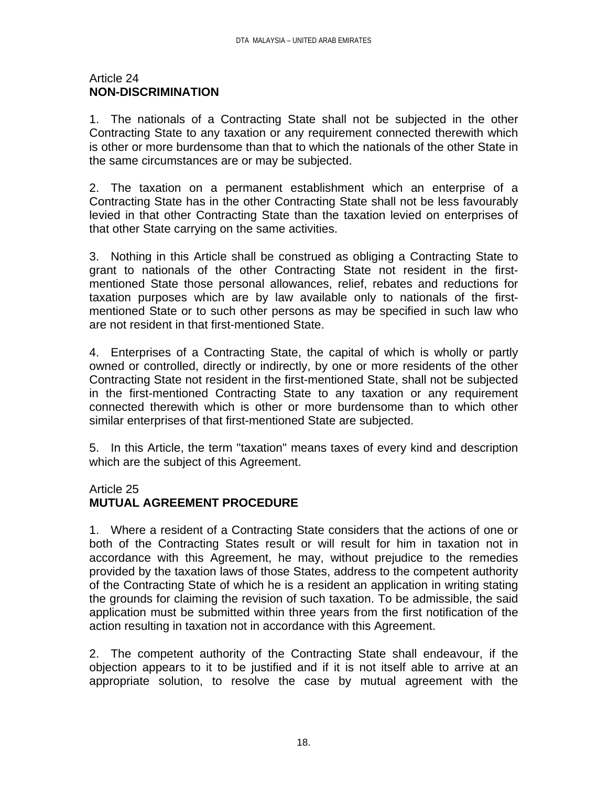#### Article 24 **NON-DISCRIMINATION**

1. The nationals of a Contracting State shall not be subjected in the other Contracting State to any taxation or any requirement connected therewith which is other or more burdensome than that to which the nationals of the other State in the same circumstances are or may be subjected.

2. The taxation on a permanent establishment which an enterprise of a Contracting State has in the other Contracting State shall not be less favourably levied in that other Contracting State than the taxation levied on enterprises of that other State carrying on the same activities.

3. Nothing in this Article shall be construed as obliging a Contracting State to grant to nationals of the other Contracting State not resident in the firstmentioned State those personal allowances, relief, rebates and reductions for taxation purposes which are by law available only to nationals of the firstmentioned State or to such other persons as may be specified in such law who are not resident in that first-mentioned State.

4. Enterprises of a Contracting State, the capital of which is wholly or partly owned or controlled, directly or indirectly, by one or more residents of the other Contracting State not resident in the first-mentioned State, shall not be subjected in the first-mentioned Contracting State to any taxation or any requirement connected therewith which is other or more burdensome than to which other similar enterprises of that first-mentioned State are subjected.

5. In this Article, the term "taxation" means taxes of every kind and description which are the subject of this Agreement.

# Article 25

# **MUTUAL AGREEMENT PROCEDURE**

1. Where a resident of a Contracting State considers that the actions of one or both of the Contracting States result or will result for him in taxation not in accordance with this Agreement, he may, without prejudice to the remedies provided by the taxation laws of those States, address to the competent authority of the Contracting State of which he is a resident an application in writing stating the grounds for claiming the revision of such taxation. To be admissible, the said application must be submitted within three years from the first notification of the action resulting in taxation not in accordance with this Agreement.

2. The competent authority of the Contracting State shall endeavour, if the objection appears to it to be justified and if it is not itself able to arrive at an appropriate solution, to resolve the case by mutual agreement with the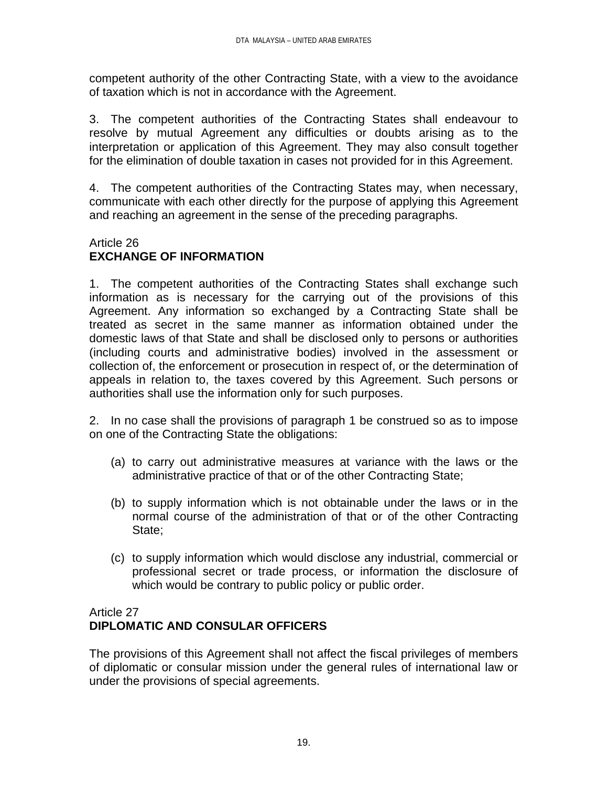competent authority of the other Contracting State, with a view to the avoidance of taxation which is not in accordance with the Agreement.

3. The competent authorities of the Contracting States shall endeavour to resolve by mutual Agreement any difficulties or doubts arising as to the interpretation or application of this Agreement. They may also consult together for the elimination of double taxation in cases not provided for in this Agreement.

4. The competent authorities of the Contracting States may, when necessary, communicate with each other directly for the purpose of applying this Agreement and reaching an agreement in the sense of the preceding paragraphs.

### Article 26 **EXCHANGE OF INFORMATION**

1. The competent authorities of the Contracting States shall exchange such information as is necessary for the carrying out of the provisions of this Agreement. Any information so exchanged by a Contracting State shall be treated as secret in the same manner as information obtained under the domestic laws of that State and shall be disclosed only to persons or authorities (including courts and administrative bodies) involved in the assessment or collection of, the enforcement or prosecution in respect of, or the determination of appeals in relation to, the taxes covered by this Agreement. Such persons or authorities shall use the information only for such purposes.

2. In no case shall the provisions of paragraph 1 be construed so as to impose on one of the Contracting State the obligations:

- (a) to carry out administrative measures at variance with the laws or the administrative practice of that or of the other Contracting State;
- (b) to supply information which is not obtainable under the laws or in the normal course of the administration of that or of the other Contracting State;
- (c) to supply information which would disclose any industrial, commercial or professional secret or trade process, or information the disclosure of which would be contrary to public policy or public order.

## Article 27 **DIPLOMATIC AND CONSULAR OFFICERS**

The provisions of this Agreement shall not affect the fiscal privileges of members of diplomatic or consular mission under the general rules of international law or under the provisions of special agreements.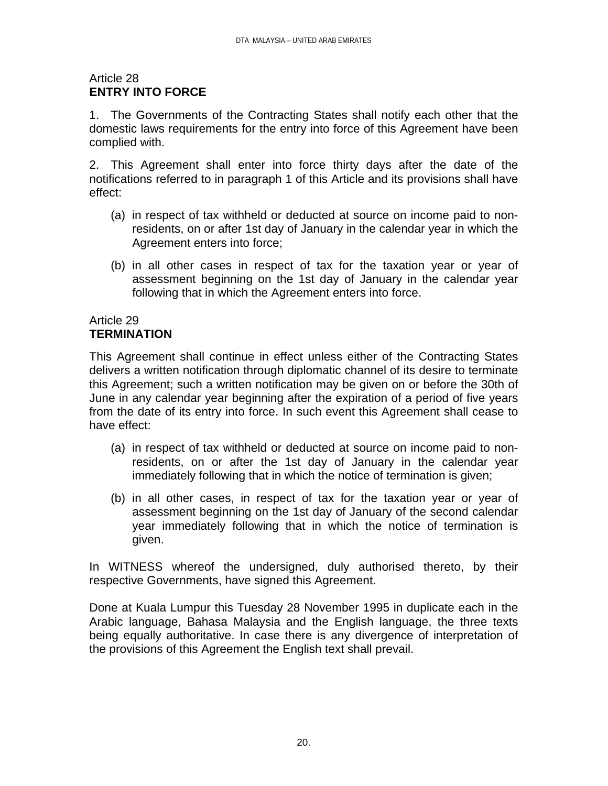### Article 28 **ENTRY INTO FORCE**

1. The Governments of the Contracting States shall notify each other that the domestic laws requirements for the entry into force of this Agreement have been complied with.

2. This Agreement shall enter into force thirty days after the date of the notifications referred to in paragraph 1 of this Article and its provisions shall have effect:

- (a) in respect of tax withheld or deducted at source on income paid to nonresidents, on or after 1st day of January in the calendar year in which the Agreement enters into force;
- (b) in all other cases in respect of tax for the taxation year or year of assessment beginning on the 1st day of January in the calendar year following that in which the Agreement enters into force.

### Article 29 **TERMINATION**

This Agreement shall continue in effect unless either of the Contracting States delivers a written notification through diplomatic channel of its desire to terminate this Agreement; such a written notification may be given on or before the 30th of June in any calendar year beginning after the expiration of a period of five years from the date of its entry into force. In such event this Agreement shall cease to have effect:

- (a) in respect of tax withheld or deducted at source on income paid to nonresidents, on or after the 1st day of January in the calendar year immediately following that in which the notice of termination is given;
- (b) in all other cases, in respect of tax for the taxation year or year of assessment beginning on the 1st day of January of the second calendar year immediately following that in which the notice of termination is given.

In WITNESS whereof the undersigned, duly authorised thereto, by their respective Governments, have signed this Agreement.

Done at Kuala Lumpur this Tuesday 28 November 1995 in duplicate each in the Arabic language, Bahasa Malaysia and the English language, the three texts being equally authoritative. In case there is any divergence of interpretation of the provisions of this Agreement the English text shall prevail.